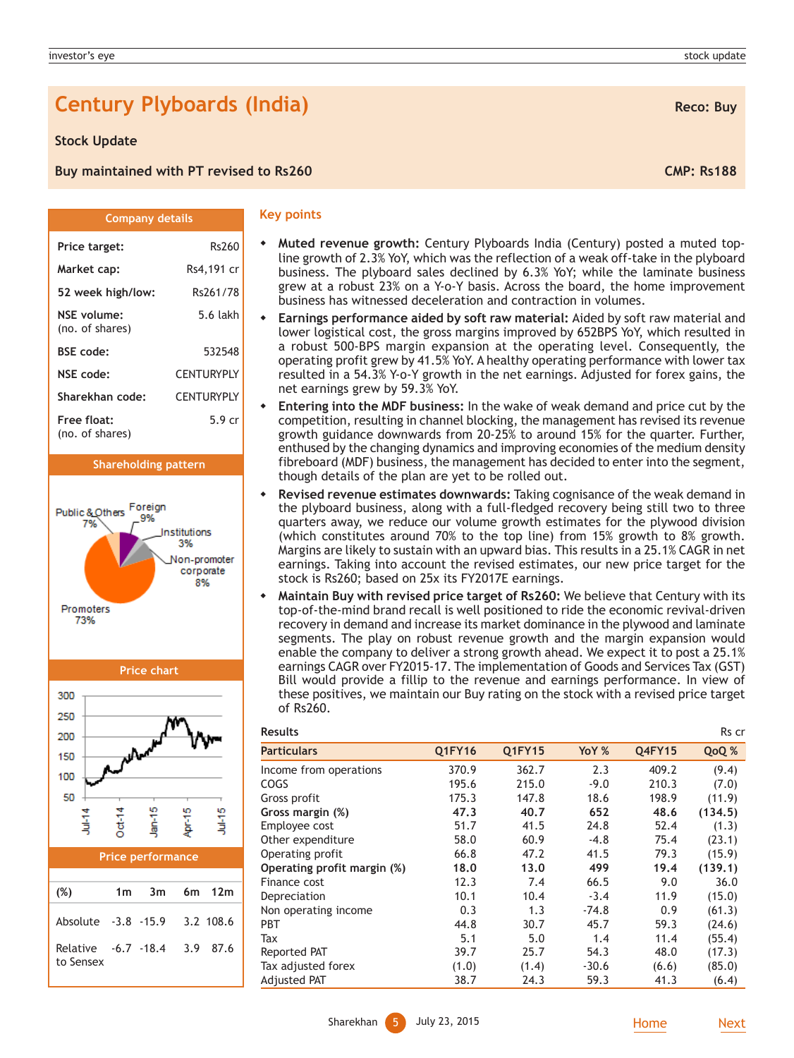# **Century Plyboards (India) Reco: Buy Reco: Buy**

### **Stock Update**

(no. of shares)

(no. of shares)

Promoters 73%

Public & Others Foreign 7%

**Buy maintained with PT revised to Rs260 CMP: Rs188** CMP: Rs188

**Company details**

Price target: Rs260 **Market cap:** Rs4,191 cr **52 week high/low:** Rs261/78 **NSE volume:** 5.6 lakh

**BSE code:** 532548 **NSE code:** CENTURYPLY **Sharekhan code:** CENTURYPLY **Free float:** 5.9 cr

**Shareholding pattern**

nstitutions 3% Ion-promoter corporate 8%

#### **Key points**

- **Muted revenue growth:** Century Plyboards India (Century) posted a muted topline growth of 2.3% YoY, which was the reflection of a weak off-take in the plyboard business. The plyboard sales declined by 6.3% YoY; while the laminate business grew at a robust 23% on a Y-o-Y basis. Across the board, the home improvement business has witnessed deceleration and contraction in volumes.
	- **Earnings performance aided by soft raw material:** Aided by soft raw material and lower logistical cost, the gross margins improved by 652BPS YoY, which resulted in a robust 500-BPS margin expansion at the operating level. Consequently, the operating profit grew by 41.5% YoY. A healthy operating performance with lower tax resulted in a 54.3% Y-o-Y growth in the net earnings. Adjusted for forex gains, the net earnings grew by 59.3% YoY.
- **Entering into the MDF business:** In the wake of weak demand and price cut by the competition, resulting in channel blocking, the management has revised its revenue growth guidance downwards from 20-25% to around 15% for the quarter. Further, enthused by the changing dynamics and improving economies of the medium density fibreboard (MDF) business, the management has decided to enter into the segment, though details of the plan are yet to be rolled out.
- **Revised revenue estimates downwards:** Taking cognisance of the weak demand in the plyboard business, along with a full-fledged recovery being still two to three quarters away, we reduce our volume growth estimates for the plywood division (which constitutes around 70% to the top line) from 15% growth to 8% growth. Margins are likely to sustain with an upward bias. This results in a 25.1% CAGR in net earnings. Taking into account the revised estimates, our new price target for the stock is Rs260; based on 25x its FY2017E earnings.
- **Maintain Buy with revised price target of Rs260:** We believe that Century with its top-of-the-mind brand recall is well positioned to ride the economic revival-driven recovery in demand and increase its market dominance in the plywood and laminate segments. The play on robust revenue growth and the margin expansion would enable the company to deliver a strong growth ahead. We expect it to post a 25.1% earnings CAGR over FY2015-17. The implementation of Goods and Services Tax (GST) Bill would provide a fillip to the revenue and earnings performance. In view of these positives, we maintain our Buy rating on the stock with a revised price target of Rs260.

| <b>Results</b>              |               |               |         |               | Rs cr   |
|-----------------------------|---------------|---------------|---------|---------------|---------|
| <b>Particulars</b>          | <b>Q1FY16</b> | <b>Q1FY15</b> | YoY %   | <b>Q4FY15</b> | QoQ %   |
| Income from operations      | 370.9         | 362.7         | 2.3     | 409.2         | (9.4)   |
| COGS                        | 195.6         | 215.0         | $-9.0$  | 210.3         | (7.0)   |
| Gross profit                | 175.3         | 147.8         | 18.6    | 198.9         | (11.9)  |
| Gross margin (%)            | 47.3          | 40.7          | 652     | 48.6          | (134.5) |
| Employee cost               | 51.7          | 41.5          | 24.8    | 52.4          | (1.3)   |
| Other expenditure           | 58.0          | 60.9          | $-4.8$  | 75.4          | (23.1)  |
| Operating profit            | 66.8          | 47.2          | 41.5    | 79.3          | (15.9)  |
| Operating profit margin (%) | 18.0          | 13.0          | 499     | 19.4          | (139.1) |
| Finance cost                | 12.3          | 7.4           | 66.5    | 9.0           | 36.0    |
| Depreciation                | 10.1          | 10.4          | $-3.4$  | 11.9          | (15.0)  |
| Non operating income        | 0.3           | 1.3           | $-74.8$ | 0.9           | (61.3)  |
| <b>PBT</b>                  | 44.8          | 30.7          | 45.7    | 59.3          | (24.6)  |
| Tax                         | 5.1           | 5.0           | 1.4     | 11.4          | (55.4)  |
| Reported PAT                | 39.7          | 25.7          | 54.3    | 48.0          | (17.3)  |
| Tax adjusted forex          | (1.0)         | (1.4)         | $-30.6$ | (6.6)         | (85.0)  |
| <b>Adjusted PAT</b>         | 38.7          | 24.3          | 59.3    | 41.3          | (6.4)   |



Relative -6.7 -18.4 3.9 87.6

to Sensex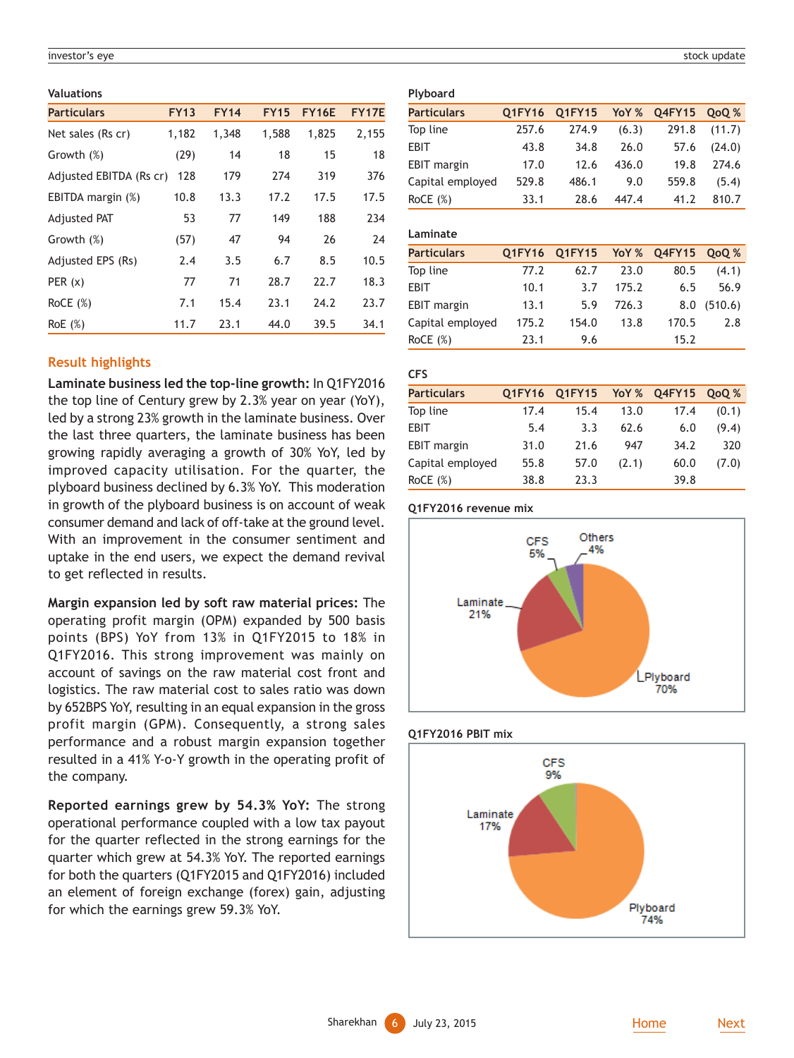#### investor's eye stock update the stock update of the stock update stock update stock update stock update stock update

#### **Valuations**

| <b>Particulars</b>      | <b>FY13</b> | <b>FY14</b> | <b>FY15</b> | <b>FY16E</b> | <b>FY17E</b> |
|-------------------------|-------------|-------------|-------------|--------------|--------------|
| Net sales (Rs cr)       | 1,182       | 1,348       | 1,588       | 1,825        | 2,155        |
| Growth (%)              | (29)        | 14          | 18          | 15           | 18           |
| Adjusted EBITDA (Rs cr) | 128         | 179         | 274         | 319          | 376          |
| EBITDA margin (%)       | 10.8        | 13.3        | 17.2        | 17.5         | 17.5         |
| <b>Adjusted PAT</b>     | 53          | 77          | 149         | 188          | 234          |
| Growth (%)              | (57)        | 47          | 94          | 26           | 24           |
| Adjusted EPS (Rs)       | 2.4         | 3.5         | 6.7         | 8.5          | 10.5         |
| PER $(x)$               | 77          | 71          | 28.7        | 22.7         | 18.3         |
| RoCE $(\%)$             | 7.1         | 15.4        | 23.1        | 24.2         | 23.7         |
| RoE(%)                  | 11.7        | 23.1        | 44.0        | 39.5         | 34.1         |

# **Result highlights**

**Laminate business led the top-line growth:** In Q1FY2016 the top line of Century grew by 2.3% year on year (YoY), led by a strong 23% growth in the laminate business. Over the last three quarters, the laminate business has been growing rapidly averaging a growth of 30% YoY, led by improved capacity utilisation. For the quarter, the plyboard business declined by 6.3% YoY. This moderation in growth of the plyboard business is on account of weak consumer demand and lack of off-take at the ground level. With an improvement in the consumer sentiment and uptake in the end users, we expect the demand revival to get reflected in results.

**Margin expansion led by soft raw material prices:** The operating profit margin (OPM) expanded by 500 basis points (BPS) YoY from 13% in Q1FY2015 to 18% in Q1FY2016. This strong improvement was mainly on account of savings on the raw material cost front and logistics. The raw material cost to sales ratio was down by 652BPS YoY, resulting in an equal expansion in the gross profit margin (GPM). Consequently, a strong sales performance and a robust margin expansion together resulted in a 41% Y-o-Y growth in the operating profit of the company.

**Reported earnings grew by 54.3% YoY:** The strong operational performance coupled with a low tax payout for the quarter reflected in the strong earnings for the quarter which grew at 54.3% YoY. The reported earnings for both the quarters (Q1FY2015 and Q1FY2016) included an element of foreign exchange (forex) gain, adjusting for which the earnings grew 59.3% YoY.

#### **Plyboard**

| <b>Particulars</b> | <b>O1FY16</b> | Q1FY15 | YoY % | Q4FY15 | <b>OoO</b> % |
|--------------------|---------------|--------|-------|--------|--------------|
| Top line           | 257.6         | 274.9  | (6.3) | 291.8  | (11.7)       |
| EBIT               | 43.8          | 34.8   | 26.0  | 57.6   | (24.0)       |
| <b>EBIT</b> margin | 17.0          | 12.6   | 436.0 | 19.8   | 274.6        |
| Capital employed   | 529.8         | 486.1  | 9.0   | 559.8  | (5.4)        |
| RoCE $(\%)$        | 33.1          | 28.6   | 447.4 | 41.2   | 810.7        |

# **Laminate**

| <b>Particulars</b> |       | Q1FY16 Q1FY15 YoY% Q4FY15 QoQ% |       |       |         |
|--------------------|-------|--------------------------------|-------|-------|---------|
| Top line           | 77.2  | 62.7                           | 23.0  | 80.5  | (4.1)   |
| EBIT               | 10.1  | 3.7                            | 175.2 | 6.5   | 56.9    |
| <b>EBIT</b> margin | 13.1  | 5.9                            | 726.3 | 8.0   | (510.6) |
| Capital employed   | 175.2 | 154.0                          | 13.8  | 170.5 | 2.8     |
| RoCE $(\%)$        | 23.1  | 9.6                            |       | 15.2  |         |

# **CFS**

| <b>Particulars</b> | <b>O1FY16</b> | Q1FY15 |       | YoY % Q4FY15 | QoQ % |
|--------------------|---------------|--------|-------|--------------|-------|
| Top line           | 17.4          | 15.4   | 13.0  | 17.4         | (0.1) |
| <b>EBIT</b>        | 5.4           | 3.3    | 62.6  | 6.0          | (9.4) |
| <b>EBIT</b> margin | 31.0          | 21.6   | 947   | 34.2         | 320   |
| Capital employed   | 55.8          | 57.0   | (2.1) | 60.0         | (7.0) |
| RoCE $(\%)$        | 38.8          | 23.3   |       | 39.8         |       |

## **Q1FY2016 revenue mix**



### **Q1FY2016 PBIT mix**